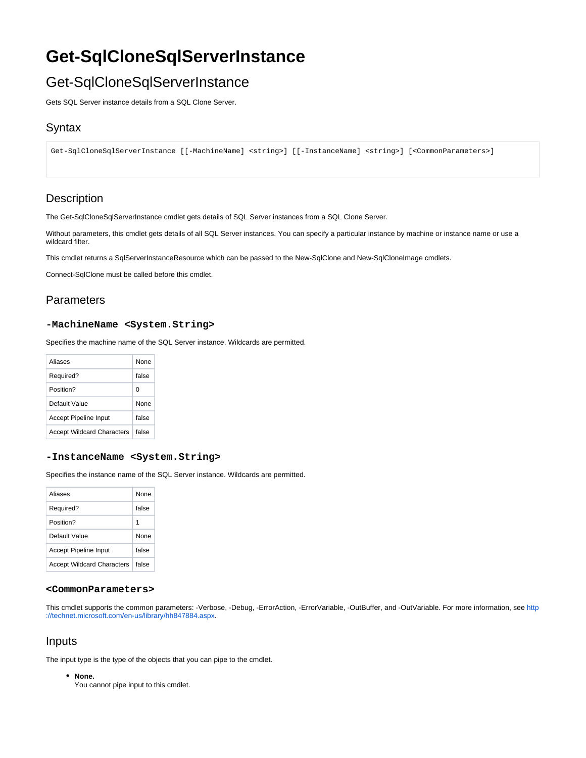# **Get-SqlCloneSqlServerInstance**

## Get-SqlCloneSqlServerInstance

Gets SQL Server instance details from a SQL Clone Server.

### **Syntax**

Get-SqlCloneSqlServerInstance [[-MachineName] <string>] [[-InstanceName] <string>] [<CommonParameters>]

## **Description**

The Get-SqlCloneSqlServerInstance cmdlet gets details of SQL Server instances from a SQL Clone Server.

Without parameters, this cmdlet gets details of all SQL Server instances. You can specify a particular instance by machine or instance name or use a wildcard filter.

This cmdlet returns a SqlServerInstanceResource which can be passed to the New-SqlClone and New-SqlCloneImage cmdlets.

Connect-SqlClone must be called before this cmdlet.

## **Parameters**

#### **-MachineName <System.String>**

Specifies the machine name of the SQL Server instance. Wildcards are permitted.

| Aliases                           | None        |
|-----------------------------------|-------------|
| Required?                         | false       |
| Position?                         | O           |
| Default Value                     | <b>None</b> |
| <b>Accept Pipeline Input</b>      | false       |
| <b>Accept Wildcard Characters</b> | false       |

#### **-InstanceName <System.String>**

Specifies the instance name of the SQL Server instance. Wildcards are permitted.

| Aliases                           | None  |
|-----------------------------------|-------|
| Required?                         | false |
| Position?                         | 1     |
| Default Value                     | None  |
| Accept Pipeline Input             | false |
| <b>Accept Wildcard Characters</b> | false |

#### **<CommonParameters>**

This cmdlet supports the common parameters: -Verbose, -Debug, -ErrorAction, -ErrorVariable, -OutBuffer, and -OutVariable. For more information, see [http](http://technet.microsoft.com/en-us/library/hh847884.aspx) [://technet.microsoft.com/en-us/library/hh847884.aspx](http://technet.microsoft.com/en-us/library/hh847884.aspx).

#### Inputs

The input type is the type of the objects that you can pipe to the cmdlet.

**None.**

You cannot pipe input to this cmdlet.